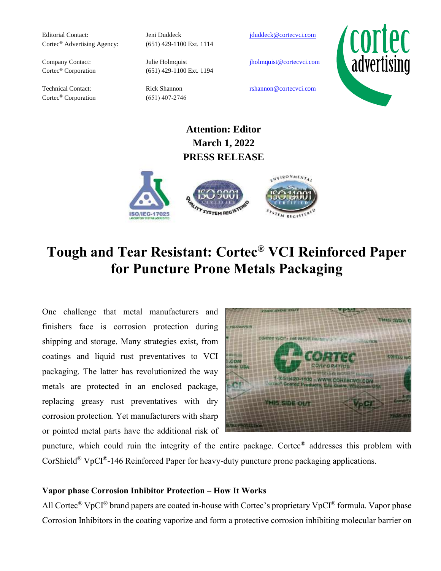Editorial Contact: Jeni Duddeck [jduddeck@cortecvci.com](mailto:jduddeck@cortecvci.com) Cortec® Advertising Agency: (651) 429-1100 Ext. 1114

Cortec<sup>®</sup> Corporation (651) 407-2746

Cortec<sup>®</sup> Corporation (651) 429-1100 Ext. 1194

Company Contact: Julie Holmquist jholmquist incompany Contact:



Technical Contact: Rick Shannon rshannon rshannon experience cortecvci.com

## **Attention: Editor March 1, 2022 PRESS RELEASE**



# **Tough and Tear Resistant: Cortec® VCI Reinforced Paper for Puncture Prone Metals Packaging**

One challenge that metal manufacturers and finishers face is corrosion protection during shipping and storage. Many strategies exist, from coatings and liquid rust preventatives to VCI packaging. The latter has revolutionized the way metals are protected in an enclosed package, replacing greasy rust preventatives with dry corrosion protection. Yet manufacturers with sharp or pointed metal parts have the additional risk of



puncture, which could ruin the integrity of the entire package. Cortec® addresses this problem with CorShield® VpCI®-146 Reinforced Paper for heavy-duty puncture prone packaging applications.

### **Vapor phase Corrosion Inhibitor Protection – How It Works**

All Cortec<sup>®</sup> VpCI<sup>®</sup> brand papers are coated in-house with Cortec's proprietary VpCI<sup>®</sup> formula. Vapor phase Corrosion Inhibitors in the coating vaporize and form a protective corrosion inhibiting molecular barrier on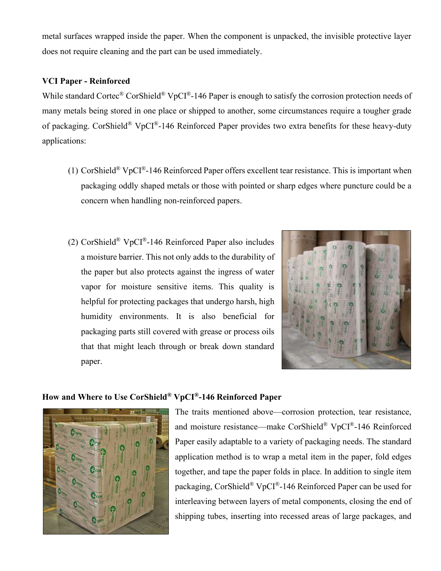metal surfaces wrapped inside the paper. When the component is unpacked, the invisible protective layer does not require cleaning and the part can be used immediately.

#### **VCI Paper - Reinforced**

While standard Cortec® CorShield® VpCI®-146 Paper is enough to satisfy the corrosion protection needs of many metals being stored in one place or shipped to another, some circumstances require a tougher grade of packaging. CorShield® VpCI®-146 Reinforced Paper provides two extra benefits for these heavy-duty applications:

- (1) CorShield<sup>®</sup> VpCI<sup>®</sup>-146 Reinforced Paper offers excellent tear resistance. This is important when packaging oddly shaped metals or those with pointed or sharp edges where puncture could be a concern when handling non-reinforced papers.
- (2) CorShield® VpCI®-146 Reinforced Paper also includes a moisture barrier. This not only adds to the durability of the paper but also protects against the ingress of water vapor for moisture sensitive items. This quality is helpful for protecting packages that undergo harsh, high humidity environments. It is also beneficial for packaging parts still covered with grease or process oils that that might leach through or break down standard paper.



#### **How and Where to Use CorShield® VpCI®-146 Reinforced Paper**



The traits mentioned above—corrosion protection, tear resistance, and moisture resistance—make CorShield® VpCI®-146 Reinforced Paper easily adaptable to a variety of packaging needs. The standard application method is to wrap a metal item in the paper, fold edges together, and tape the paper folds in place. In addition to single item packaging, CorShield® VpCI®-146 Reinforced Paper can be used for interleaving between layers of metal components, closing the end of shipping tubes, inserting into recessed areas of large packages, and